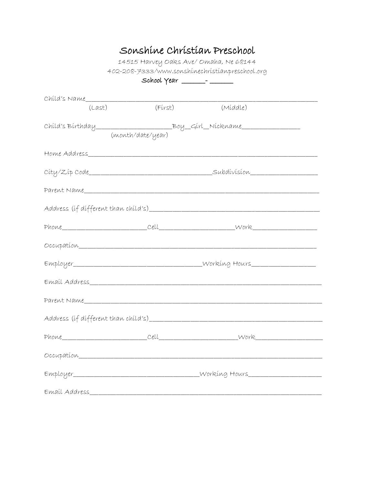## Sonshine Christian Preschool

14515 Harvey Oaks Ave/ Omaha, Ne 68144 402-208-7333/www.sonshinechristianpreschool.org

| (Last) | (Fírst)           | (Míddle)                                                                         |  |  |
|--------|-------------------|----------------------------------------------------------------------------------|--|--|
|        | (month/date/year) |                                                                                  |  |  |
|        |                   |                                                                                  |  |  |
|        |                   |                                                                                  |  |  |
|        |                   |                                                                                  |  |  |
|        |                   |                                                                                  |  |  |
|        |                   |                                                                                  |  |  |
|        |                   |                                                                                  |  |  |
|        |                   | Employer___________________________________Working Hours________________________ |  |  |
|        |                   |                                                                                  |  |  |
|        |                   |                                                                                  |  |  |
|        |                   |                                                                                  |  |  |
|        |                   |                                                                                  |  |  |
|        |                   |                                                                                  |  |  |
|        |                   | Employer_________________________________Working Hours__________________________ |  |  |
|        |                   |                                                                                  |  |  |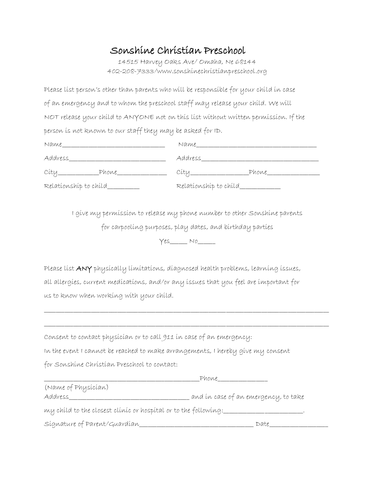## Sonshine Christian Preschool

14515 Harvey Oaks Ave/ Omaha, Ne 68144 402-208-7333/www.sonshinechristianpreschool.org

Please list person's other than parents who will be responsible for your child in case of an emergency and to whom the preschool staff may release your child. We will NOT release your child to ANYONE not on this list without written permission. If the person is not known to our staff they may be asked for ID.

| Name                  | Name                     |
|-----------------------|--------------------------|
| Address               | Address Address          |
| City Phone            | Phone<br>Cíty___________ |
| Relationship to child | Relatíonshíp to chíld    |

I give my permission to release my phone number to other Sonshine parents

for carpooling purposes, play dates, and birthday parties

 $Yes_$  No

\_\_\_\_\_\_\_\_\_\_\_\_\_\_\_\_\_\_\_\_\_\_\_\_\_\_\_\_\_\_\_\_\_\_\_\_\_\_\_\_\_\_\_\_\_\_\_\_\_\_\_\_\_\_\_\_\_\_\_\_\_\_\_\_\_\_\_\_\_\_\_\_\_\_\_\_\_\_\_\_\_\_\_\_\_\_\_\_\_\_\_\_\_\_\_\_\_

\_\_\_\_\_\_\_\_\_\_\_\_\_\_\_\_\_\_\_\_\_\_\_\_\_\_\_\_\_\_\_\_\_\_\_\_\_\_\_\_\_\_\_\_\_\_\_\_\_\_\_\_\_\_\_\_\_\_\_\_\_\_\_\_\_\_\_\_\_\_\_\_\_\_\_\_\_\_\_\_\_\_\_\_\_\_\_\_\_\_\_\_\_\_\_\_\_

Please list ANY physically limitations, diagnosed health problems, learning issues, all allergies, current medications, and/or any issues that you feel are important for us to know when working with your child.

| Consent to contact physician or to call 911 in case of an emergency: |  |  |
|----------------------------------------------------------------------|--|--|
|----------------------------------------------------------------------|--|--|

In the event I cannot be reached to make arrangements, I hereby give my consent

for Sonshine Christian Preschool to contact:

|                                                                 | Phone                                |  |  |  |
|-----------------------------------------------------------------|--------------------------------------|--|--|--|
| (Name of Physician)                                             |                                      |  |  |  |
| Address                                                         | and in case of an emergency, to take |  |  |  |
| my child to the closest clinic or hospital or to the following: |                                      |  |  |  |
| Signature of Parent/Guardian                                    | Date                                 |  |  |  |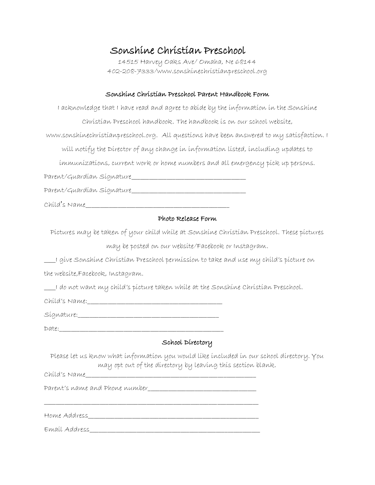### Sonshine Christian Preschool

14515 Harvey Oaks Ave/ Omaha, Ne 68144 402-208-7333/www.sonshinechristianpreschool.org

#### Sonshine Christian Preschool Parent Handbook Form

I acknowledge that I have read and agree to abide by the information in the Sonshine Christian Preschool handbook. The handbook is on our school website, www.sonshinechristianpreschool.org. All questions have been answered to my satisfaction. I will notify the Director of any change in information listed, including updates to immunizations, current work or home numbers and all emergency pick up persons. Parent/Guardian Signature\_\_\_\_\_\_\_\_\_\_\_\_\_\_\_\_\_\_\_\_\_\_\_\_\_\_\_\_\_\_\_\_\_\_\_\_\_\_\_

Parent/Guardian Signature\_\_\_\_\_\_\_\_\_\_\_\_\_\_\_\_\_\_\_\_\_\_\_\_\_\_\_\_\_\_\_\_\_\_\_\_\_\_\_

Child's Name\_\_\_\_\_\_\_\_\_\_\_\_\_\_\_\_\_\_\_\_\_\_\_\_\_\_\_\_\_\_\_\_\_\_\_\_\_\_\_\_\_\_\_\_\_\_\_\_\_

#### Photo Release Form

Pictures may be taken of your child while at Sonshine Christian Preschool. These pictures may be posted on our website/Facebook or Instagram.

\_\_\_\_I give Sonshine Christian Preschool permission to take and use my child's picture on

the website,Facebook, Instagram.

\_\_\_\_I do not want my child's picture taken while at the Sonshine Christian Preschool.

Child's Name:\_\_\_\_\_\_\_\_\_\_\_\_\_\_\_\_\_\_\_\_\_\_\_\_\_\_\_\_\_\_\_\_\_\_\_\_\_\_\_\_\_\_\_\_\_\_

Signature:\_\_\_\_\_\_\_\_\_\_\_\_\_\_\_\_\_\_\_\_\_\_\_\_\_\_\_\_\_\_\_\_\_\_\_\_\_\_\_\_\_\_\_\_\_\_\_\_

 $Date:$ 

### School Directory

Please let us know what information you would like included in our school directory. You may opt out of the directory by leaving this section blank.

Child's Name\_\_\_\_\_\_\_\_\_\_\_\_\_\_\_\_\_\_\_\_\_\_\_\_\_\_\_\_\_\_\_\_\_\_\_\_\_\_\_\_\_\_\_\_\_\_\_\_\_\_\_\_\_\_\_\_\_\_

Parent's name and Phone number

Home Address\_\_\_\_\_\_\_\_\_\_\_\_\_\_\_\_\_\_\_\_\_\_\_\_\_\_\_\_\_\_\_\_\_\_\_\_\_\_\_\_\_\_\_\_\_\_\_\_\_\_\_\_\_\_\_\_\_\_

\_\_\_\_\_\_\_\_\_\_\_\_\_\_\_\_\_\_\_\_\_\_\_\_\_\_\_\_\_\_\_\_\_\_\_\_\_\_\_\_\_\_\_\_\_\_\_\_\_\_\_\_\_\_\_\_\_\_\_\_\_\_\_\_\_\_\_\_\_\_\_\_\_

Email Address\_\_\_\_\_\_\_\_\_\_\_\_\_\_\_\_\_\_\_\_\_\_\_\_\_\_\_\_\_\_\_\_\_\_\_\_\_\_\_\_\_\_\_\_\_\_\_\_\_\_\_\_\_\_\_\_\_\_